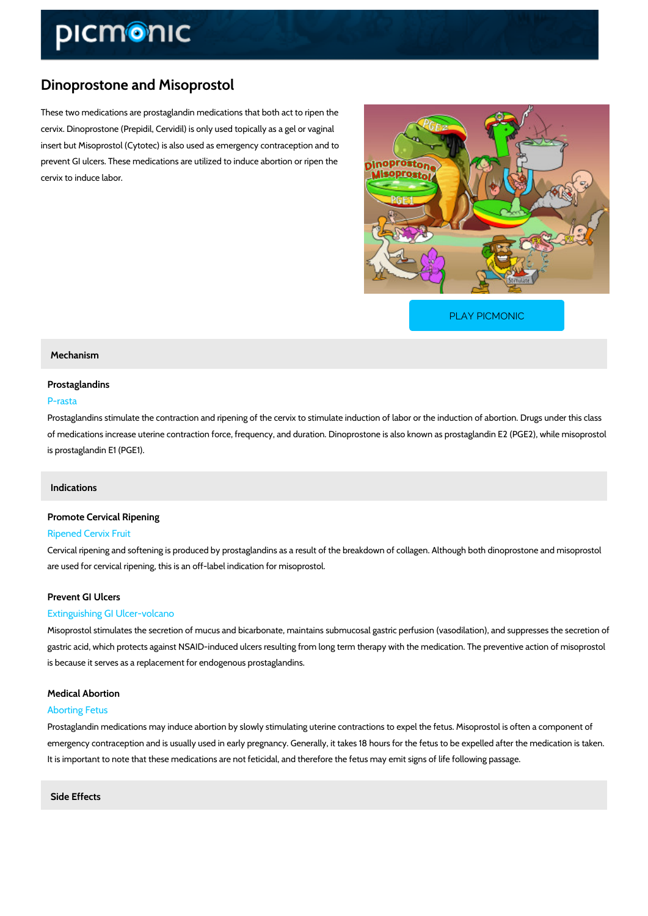# Dinoprostone and Misoprostol

These two medications are prostaglandin medications that both act to ripen the cervix. Dinoprostone (Prepidil, Cervidil) is only used topically as a gel or vaginal insert but Misoprostol (Cytotec) is also used as emergency contraception and to prevent GI ulcers. These medications are utilized to induce abortion or ripen the cervix to induce labor.

[PLAY PICMONIC](https://www.picmonic.com/learn/dinoprostone-and-misoprostol_1992?utm_source=downloadable_content&utm_medium=distributedcontent&utm_campaign=pathways_pdf&utm_content=Dinoprostone and Misoprostol&utm_ad_group=leads&utm_market=all)

#### Mechanism

#### Prostaglandins

### P-rasta

Prostaglandins stimulate the contraction and ripening of the cervix to stimulate induction of I of medications increase uterine contraction force, frequency, and duration. Dinoprostone is al is prostaglandin E1 (PGE1).

#### Indications

# Promote Cervical Ripening

#### Ripened Cervix Fruit

Cervical ripening and softening is produced by prostaglandins as a result of the breakdown of are used for cervical ripening, this is an off-label indication for misoprostol.

#### Prevent GI Ulcers

#### Extinguishing GI Ulcer-volcano

Misoprostol stimulates the secretion of mucus and bicarbonate, maintains submucosal gastric gastric acid, which protects against NSAID-induced ulcers resulting from long term therapy wi is because it serves as a replacement for endogenous prostaglandins.

#### Medical Abortion

#### Aborting Fetus

Prostaglandin medications may induce abortion by slowly stimulating uterine contractions to e emergency contraception and is usually used in early pregnancy. Generally, it takes 18 hours It is important to note that these medications are not feticidal, and therefore the fetus may em

Side Effects